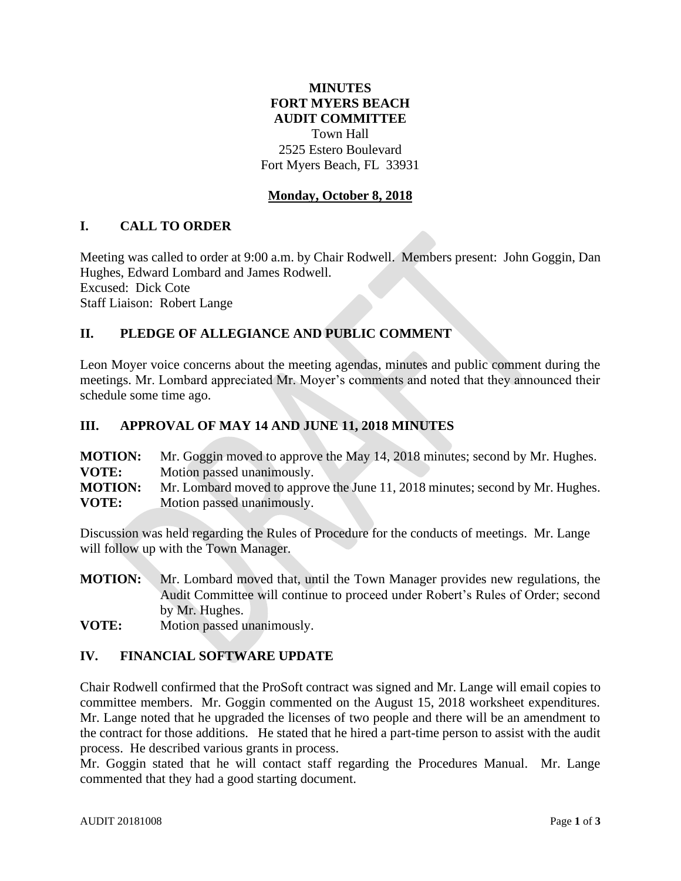# **MINUTES FORT MYERS BEACH AUDIT COMMITTEE** Town Hall 2525 Estero Boulevard Fort Myers Beach, FL 33931

## **Monday, October 8, 2018**

#### **I. CALL TO ORDER**

Meeting was called to order at 9:00 a.m. by Chair Rodwell. Members present: John Goggin, Dan Hughes, Edward Lombard and James Rodwell. Excused: Dick Cote Staff Liaison: Robert Lange

### **II. PLEDGE OF ALLEGIANCE AND PUBLIC COMMENT**

Leon Moyer voice concerns about the meeting agendas, minutes and public comment during the meetings. Mr. Lombard appreciated Mr. Moyer's comments and noted that they announced their schedule some time ago.

#### **III. APPROVAL OF MAY 14 AND JUNE 11, 2018 MINUTES**

**MOTION:** Mr. Goggin moved to approve the May 14, 2018 minutes; second by Mr. Hughes. **VOTE:** Motion passed unanimously. **MOTION:** Mr. Lombard moved to approve the June 11, 2018 minutes; second by Mr. Hughes. **VOTE:** Motion passed unanimously.

Discussion was held regarding the Rules of Procedure for the conducts of meetings. Mr. Lange will follow up with the Town Manager.

**MOTION:** Mr. Lombard moved that, until the Town Manager provides new regulations, the Audit Committee will continue to proceed under Robert's Rules of Order; second by Mr. Hughes.

**VOTE:** Motion passed unanimously.

## **IV. FINANCIAL SOFTWARE UPDATE**

Chair Rodwell confirmed that the ProSoft contract was signed and Mr. Lange will email copies to committee members. Mr. Goggin commented on the August 15, 2018 worksheet expenditures. Mr. Lange noted that he upgraded the licenses of two people and there will be an amendment to the contract for those additions. He stated that he hired a part-time person to assist with the audit process. He described various grants in process.

Mr. Goggin stated that he will contact staff regarding the Procedures Manual. Mr. Lange commented that they had a good starting document.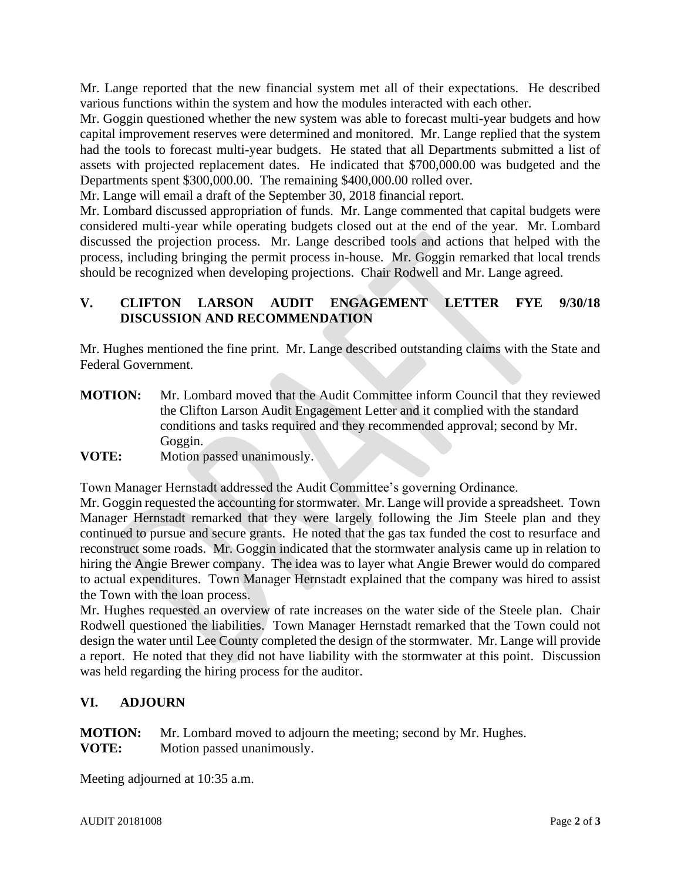Mr. Lange reported that the new financial system met all of their expectations. He described various functions within the system and how the modules interacted with each other.

Mr. Goggin questioned whether the new system was able to forecast multi-year budgets and how capital improvement reserves were determined and monitored. Mr. Lange replied that the system had the tools to forecast multi-year budgets. He stated that all Departments submitted a list of assets with projected replacement dates. He indicated that \$700,000.00 was budgeted and the Departments spent \$300,000.00. The remaining \$400,000.00 rolled over.

Mr. Lange will email a draft of the September 30, 2018 financial report.

Mr. Lombard discussed appropriation of funds. Mr. Lange commented that capital budgets were considered multi-year while operating budgets closed out at the end of the year. Mr. Lombard discussed the projection process. Mr. Lange described tools and actions that helped with the process, including bringing the permit process in-house. Mr. Goggin remarked that local trends should be recognized when developing projections. Chair Rodwell and Mr. Lange agreed.

## **V. CLIFTON LARSON AUDIT ENGAGEMENT LETTER FYE 9/30/18 DISCUSSION AND RECOMMENDATION**

Mr. Hughes mentioned the fine print. Mr. Lange described outstanding claims with the State and Federal Government.

- **MOTION:** Mr. Lombard moved that the Audit Committee inform Council that they reviewed the Clifton Larson Audit Engagement Letter and it complied with the standard conditions and tasks required and they recommended approval; second by Mr. Goggin.
- **VOTE:** Motion passed unanimously.

Town Manager Hernstadt addressed the Audit Committee's governing Ordinance.

Mr. Goggin requested the accounting for stormwater. Mr. Lange will provide a spreadsheet. Town Manager Hernstadt remarked that they were largely following the Jim Steele plan and they continued to pursue and secure grants. He noted that the gas tax funded the cost to resurface and reconstruct some roads. Mr. Goggin indicated that the stormwater analysis came up in relation to hiring the Angie Brewer company. The idea was to layer what Angie Brewer would do compared to actual expenditures. Town Manager Hernstadt explained that the company was hired to assist the Town with the loan process.

Mr. Hughes requested an overview of rate increases on the water side of the Steele plan. Chair Rodwell questioned the liabilities. Town Manager Hernstadt remarked that the Town could not design the water until Lee County completed the design of the stormwater. Mr. Lange will provide a report. He noted that they did not have liability with the stormwater at this point. Discussion was held regarding the hiring process for the auditor.

# **VI. ADJOURN**

**MOTION:** Mr. Lombard moved to adjourn the meeting; second by Mr. Hughes. **VOTE:** Motion passed unanimously.

Meeting adjourned at 10:35 a.m.